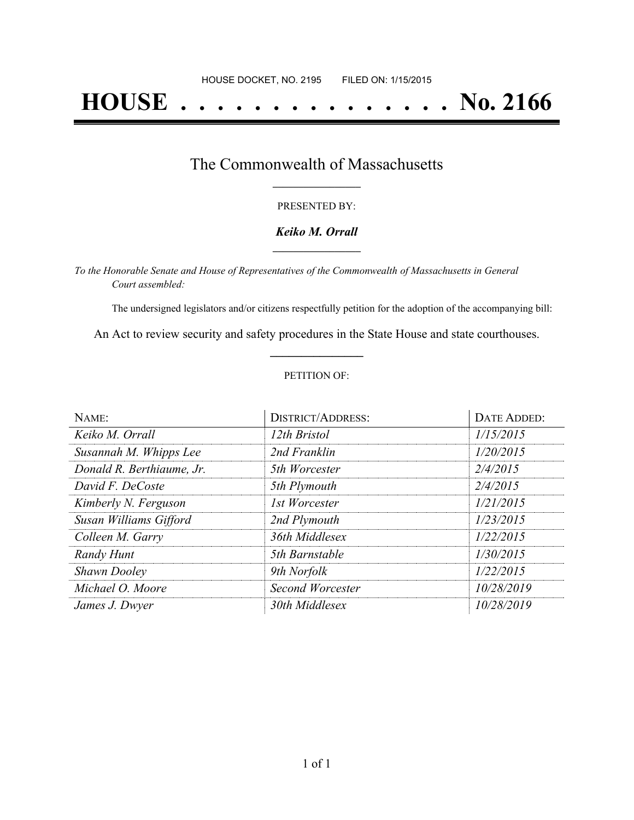# **HOUSE . . . . . . . . . . . . . . . No. 2166**

### The Commonwealth of Massachusetts **\_\_\_\_\_\_\_\_\_\_\_\_\_\_\_\_\_**

#### PRESENTED BY:

#### *Keiko M. Orrall* **\_\_\_\_\_\_\_\_\_\_\_\_\_\_\_\_\_**

*To the Honorable Senate and House of Representatives of the Commonwealth of Massachusetts in General Court assembled:*

The undersigned legislators and/or citizens respectfully petition for the adoption of the accompanying bill:

An Act to review security and safety procedures in the State House and state courthouses. **\_\_\_\_\_\_\_\_\_\_\_\_\_\_\_**

#### PETITION OF:

| NAME:                     | <b>DISTRICT/ADDRESS:</b> | DATE ADDED: |
|---------------------------|--------------------------|-------------|
| Keiko M. Orrall           | 12th Bristol             | 1/15/2015   |
| Susannah M. Whipps Lee    | 2nd Franklin             | 1/20/2015   |
| Donald R. Berthiaume, Jr. | 5th Worcester            | 2/4/2015    |
| David F. DeCoste          | 5th Plymouth             | 2/4/2015    |
| Kimberly N. Ferguson      | 1st Worcester            | 1/21/2015   |
| Susan Williams Gifford    | 2nd Plymouth             | 1/23/2015   |
| Colleen M. Garry          | 36th Middlesex           | 1/22/2015   |
| Randy Hunt                | 5th Barnstable           | 1/30/2015   |
| <b>Shawn Dooley</b>       | 9th Norfolk              | 1/22/2015   |
| Michael O. Moore          | Second Worcester         | 10/28/2019  |
| James J. Dwyer            | 30th Middlesex           | 10/28/2019  |